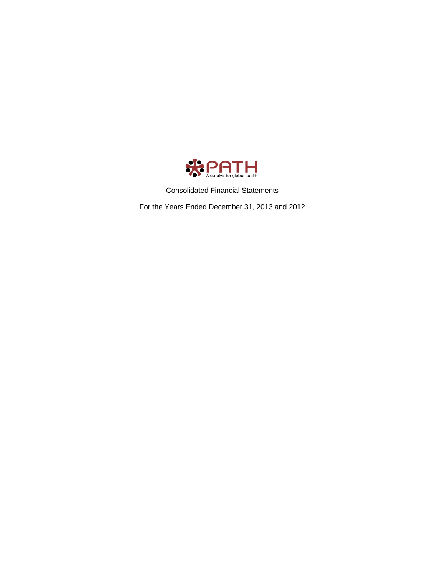

Consolidated Financial Statements

For the Years Ended December 31, 2013 and 2012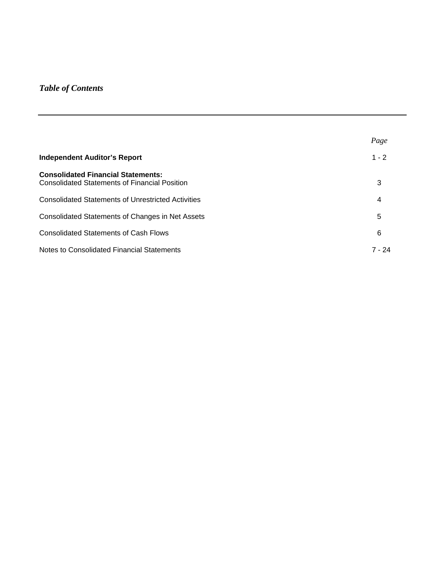## *Table of Contents*

|                                                                                                   | Page    |
|---------------------------------------------------------------------------------------------------|---------|
| <b>Independent Auditor's Report</b>                                                               | $1 - 2$ |
| <b>Consolidated Financial Statements:</b><br><b>Consolidated Statements of Financial Position</b> | 3       |
| <b>Consolidated Statements of Unrestricted Activities</b>                                         | 4       |
| Consolidated Statements of Changes in Net Assets                                                  | 5       |
| <b>Consolidated Statements of Cash Flows</b>                                                      | 6       |
| Notes to Consolidated Financial Statements                                                        | 7 - 24  |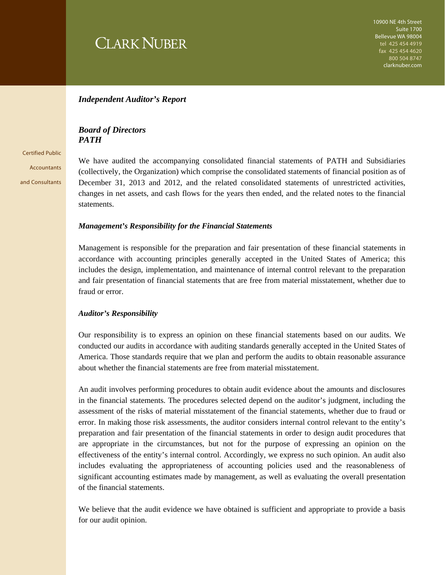## **CLARK NUBER**

#### *Independent Auditor's Report*

#### *Board of Directors PATH*

Certified Public **Accountants** and Consultants

We have audited the accompanying consolidated financial statements of PATH and Subsidiaries (collectively, the Organization) which comprise the consolidated statements of financial position as of December 31, 2013 and 2012, and the related consolidated statements of unrestricted activities, changes in net assets, and cash flows for the years then ended, and the related notes to the financial statements.

#### *Management's Responsibility for the Financial Statements*

Management is responsible for the preparation and fair presentation of these financial statements in accordance with accounting principles generally accepted in the United States of America; this includes the design, implementation, and maintenance of internal control relevant to the preparation and fair presentation of financial statements that are free from material misstatement, whether due to fraud or error.

#### *Auditor's Responsibility*

Our responsibility is to express an opinion on these financial statements based on our audits. We conducted our audits in accordance with auditing standards generally accepted in the United States of America. Those standards require that we plan and perform the audits to obtain reasonable assurance about whether the financial statements are free from material misstatement.

An audit involves performing procedures to obtain audit evidence about the amounts and disclosures in the financial statements. The procedures selected depend on the auditor's judgment, including the assessment of the risks of material misstatement of the financial statements, whether due to fraud or error. In making those risk assessments, the auditor considers internal control relevant to the entity's preparation and fair presentation of the financial statements in order to design audit procedures that are appropriate in the circumstances, but not for the purpose of expressing an opinion on the effectiveness of the entity's internal control. Accordingly, we express no such opinion. An audit also includes evaluating the appropriateness of accounting policies used and the reasonableness of significant accounting estimates made by management, as well as evaluating the overall presentation of the financial statements.

We believe that the audit evidence we have obtained is sufficient and appropriate to provide a basis for our audit opinion.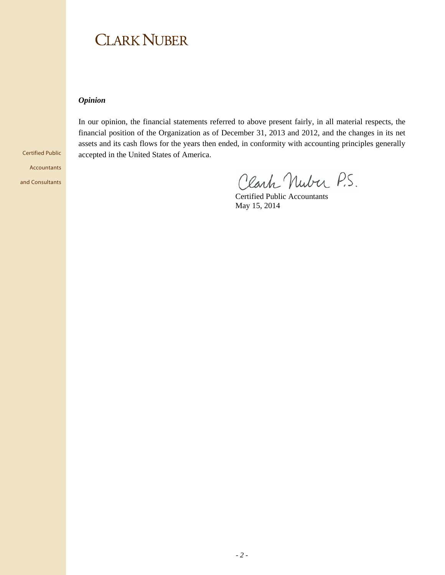# **CLARK NUBER**

#### *Opinion*

In our opinion, the financial statements referred to above present fairly, in all material respects, the financial position of the Organization as of December 31, 2013 and 2012, and the changes in its net assets and its cash flows for the years then ended, in conformity with accounting principles generally accepted in the United States of America.

Clark Nuber P.S.

Certified Public Accountants May 15, 2014

Certified Public Accountants and Consultants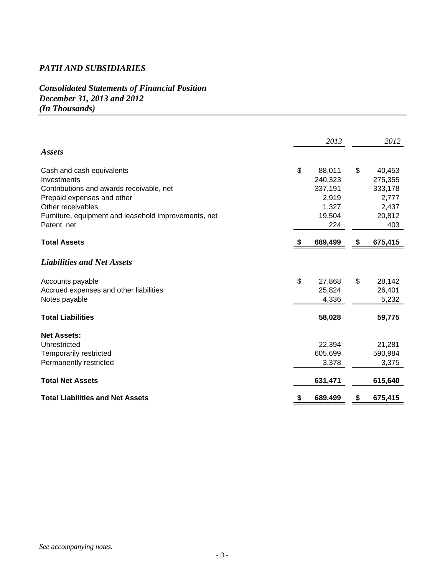## *Consolidated Statements of Financial Position December 31, 2013 and 2012 (In Thousands)*

|                                                      |    | 2013    | 2012          |
|------------------------------------------------------|----|---------|---------------|
| <b>Assets</b>                                        |    |         |               |
| Cash and cash equivalents                            | \$ | 88,011  | \$<br>40,453  |
| Investments                                          |    | 240,323 | 275,355       |
| Contributions and awards receivable, net             |    | 337,191 | 333,178       |
| Prepaid expenses and other                           |    | 2,919   | 2,777         |
| Other receivables                                    |    | 1,327   | 2,437         |
| Furniture, equipment and leasehold improvements, net |    | 19,504  | 20,812        |
| Patent, net                                          |    | 224     | 403           |
| <b>Total Assets</b>                                  | 5  | 689,499 | \$<br>675,415 |
| <b>Liabilities and Net Assets</b>                    |    |         |               |
| Accounts payable                                     | \$ | 27,868  | \$<br>28,142  |
| Accrued expenses and other liabilities               |    | 25,824  | 26,401        |
| Notes payable                                        |    | 4,336   | 5,232         |
| <b>Total Liabilities</b>                             |    | 58,028  | 59,775        |
| <b>Net Assets:</b>                                   |    |         |               |
| Unrestricted                                         |    | 22,394  | 21,281        |
| Temporarily restricted                               |    | 605,699 | 590,984       |
| Permanently restricted                               |    | 3,378   | 3,375         |
| <b>Total Net Assets</b>                              |    | 631,471 | 615,640       |
| <b>Total Liabilities and Net Assets</b>              | \$ | 689,499 | \$<br>675,415 |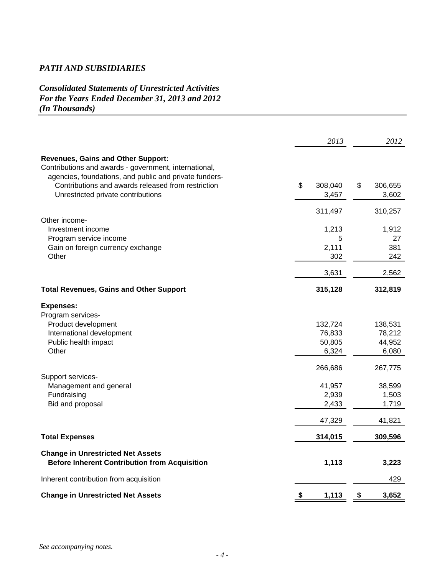*Consolidated Statements of Unrestricted Activities For the Years Ended December 31, 2013 and 2012 (In Thousands)* 

|                                                                                                                                                              | 2013                   | 2012                   |
|--------------------------------------------------------------------------------------------------------------------------------------------------------------|------------------------|------------------------|
| <b>Revenues, Gains and Other Support:</b><br>Contributions and awards - government, international,<br>agencies, foundations, and public and private funders- |                        |                        |
| Contributions and awards released from restriction<br>Unrestricted private contributions                                                                     | \$<br>308,040<br>3,457 | \$<br>306,655<br>3,602 |
|                                                                                                                                                              | 311,497                | 310,257                |
| Other income-                                                                                                                                                |                        |                        |
| Investment income<br>Program service income                                                                                                                  | 1,213<br>5             | 1,912<br>27            |
| Gain on foreign currency exchange                                                                                                                            | 2,111                  | 381                    |
| Other                                                                                                                                                        | 302                    | 242                    |
|                                                                                                                                                              | 3,631                  | 2,562                  |
| <b>Total Revenues, Gains and Other Support</b>                                                                                                               | 315,128                | 312,819                |
| <b>Expenses:</b>                                                                                                                                             |                        |                        |
| Program services-                                                                                                                                            |                        |                        |
| Product development                                                                                                                                          | 132,724                | 138,531                |
| International development                                                                                                                                    | 76,833<br>50,805       | 78,212<br>44,952       |
| Public health impact<br>Other                                                                                                                                | 6,324                  | 6,080                  |
|                                                                                                                                                              |                        |                        |
|                                                                                                                                                              | 266,686                | 267,775                |
| Support services-<br>Management and general                                                                                                                  | 41,957                 | 38,599                 |
| Fundraising                                                                                                                                                  | 2,939                  | 1,503                  |
| Bid and proposal                                                                                                                                             | 2,433                  | 1,719                  |
|                                                                                                                                                              | 47,329                 | 41,821                 |
| <b>Total Expenses</b>                                                                                                                                        | 314,015                | 309,596                |
|                                                                                                                                                              |                        |                        |
| <b>Change in Unrestricted Net Assets</b><br><b>Before Inherent Contribution from Acquisition</b>                                                             | 1,113                  | 3,223                  |
| Inherent contribution from acquisition                                                                                                                       |                        | 429                    |
| <b>Change in Unrestricted Net Assets</b>                                                                                                                     | \$<br>1,113            | \$<br>3,652            |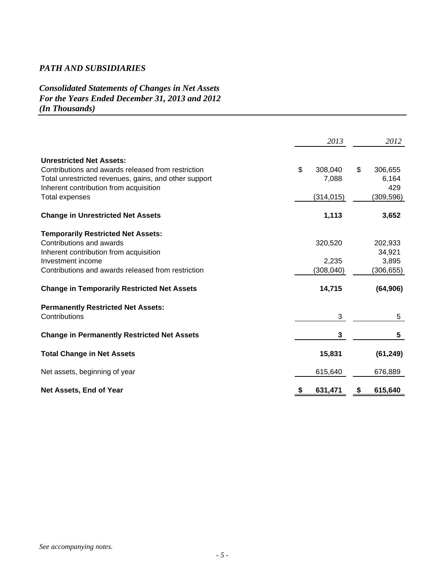*Consolidated Statements of Changes in Net Assets For the Years Ended December 31, 2013 and 2012 (In Thousands)* 

|                                                                                                                                                                                                                   |    | 2013                           |    | 2012                                 |
|-------------------------------------------------------------------------------------------------------------------------------------------------------------------------------------------------------------------|----|--------------------------------|----|--------------------------------------|
| <b>Unrestricted Net Assets:</b><br>Contributions and awards released from restriction<br>Total unrestricted revenues, gains, and other support<br>Inherent contribution from acquisition<br><b>Total expenses</b> | \$ | 308,040<br>7,088<br>(314, 015) | \$ | 306,655<br>6,164<br>429<br>(309,596) |
| <b>Change in Unrestricted Net Assets</b>                                                                                                                                                                          |    | 1,113                          |    | 3,652                                |
| <b>Temporarily Restricted Net Assets:</b>                                                                                                                                                                         |    |                                |    |                                      |
| Contributions and awards<br>Inherent contribution from acquisition                                                                                                                                                |    | 320,520                        |    | 202,933<br>34,921                    |
| Investment income                                                                                                                                                                                                 |    | 2,235                          |    | 3,895                                |
| Contributions and awards released from restriction                                                                                                                                                                |    | (308, 040)                     |    | (306,655)                            |
| <b>Change in Temporarily Restricted Net Assets</b>                                                                                                                                                                |    | 14,715                         |    | (64, 906)                            |
| <b>Permanently Restricted Net Assets:</b>                                                                                                                                                                         |    |                                |    |                                      |
| Contributions                                                                                                                                                                                                     |    | 3                              |    | 5                                    |
| <b>Change in Permanently Restricted Net Assets</b>                                                                                                                                                                |    | 3                              |    | 5                                    |
| <b>Total Change in Net Assets</b>                                                                                                                                                                                 |    | 15,831                         |    | (61, 249)                            |
| Net assets, beginning of year                                                                                                                                                                                     |    | 615,640                        |    | 676,889                              |
| Net Assets, End of Year                                                                                                                                                                                           | S  | 631,471                        | S  | 615,640                              |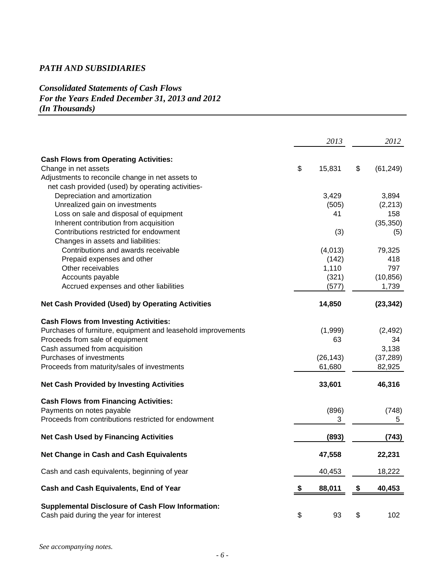*Consolidated Statements of Cash Flows For the Years Ended December 31, 2013 and 2012 (In Thousands)* 

|                                                                                                    | 2013         | 2012            |
|----------------------------------------------------------------------------------------------------|--------------|-----------------|
| <b>Cash Flows from Operating Activities:</b>                                                       |              |                 |
| Change in net assets                                                                               | \$<br>15,831 | \$<br>(61, 249) |
| Adjustments to reconcile change in net assets to                                                   |              |                 |
| net cash provided (used) by operating activities-                                                  |              |                 |
| Depreciation and amortization                                                                      | 3,429        | 3,894           |
| Unrealized gain on investments                                                                     | (505)        | (2, 213)        |
| Loss on sale and disposal of equipment                                                             | 41           | 158             |
| Inherent contribution from acquisition                                                             |              | (35, 350)       |
| Contributions restricted for endowment                                                             | (3)          | (5)             |
| Changes in assets and liabilities:                                                                 |              |                 |
| Contributions and awards receivable                                                                | (4,013)      | 79,325          |
| Prepaid expenses and other                                                                         | (142)        | 418             |
| Other receivables                                                                                  | 1,110        | 797             |
| Accounts payable                                                                                   | (321)        | (10, 856)       |
| Accrued expenses and other liabilities                                                             | (577)        | 1,739           |
| <b>Net Cash Provided (Used) by Operating Activities</b>                                            | 14,850       | (23, 342)       |
| <b>Cash Flows from Investing Activities:</b>                                                       |              |                 |
| Purchases of furniture, equipment and leasehold improvements                                       | (1,999)      | (2, 492)        |
| Proceeds from sale of equipment                                                                    | 63           | 34              |
| Cash assumed from acquisition                                                                      |              | 3,138           |
| Purchases of investments                                                                           | (26, 143)    | (37, 289)       |
| Proceeds from maturity/sales of investments                                                        | 61,680       | 82,925          |
| <b>Net Cash Provided by Investing Activities</b>                                                   | 33,601       | 46,316          |
| <b>Cash Flows from Financing Activities:</b>                                                       |              |                 |
| Payments on notes payable                                                                          | (896)        | (748)           |
| Proceeds from contributions restricted for endowment                                               | 3            | 5               |
| <b>Net Cash Used by Financing Activities</b>                                                       | (893)        | (743)           |
| Net Change in Cash and Cash Equivalents                                                            | 47,558       | 22,231          |
| Cash and cash equivalents, beginning of year                                                       | 40,453       | 18,222          |
| Cash and Cash Equivalents, End of Year                                                             | 88,011       | \$<br>40,453    |
| <b>Supplemental Disclosure of Cash Flow Information:</b><br>Cash paid during the year for interest | \$<br>93     | \$<br>102       |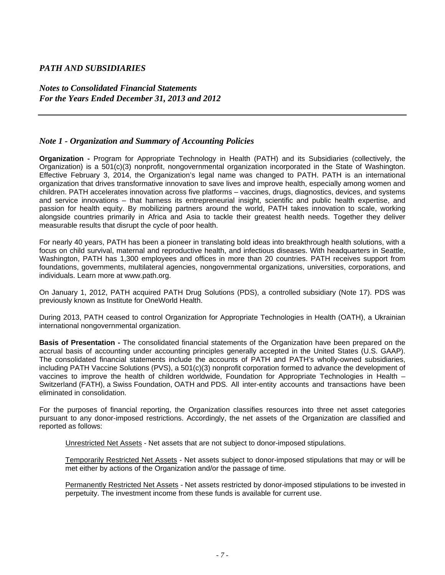*Notes to Consolidated Financial Statements For the Years Ended December 31, 2013 and 2012* 

#### *Note 1 - Organization and Summary of Accounting Policies*

**Organization -** Program for Appropriate Technology in Health (PATH) and its Subsidiaries (collectively, the Organization) is a 501(c)(3) nonprofit, nongovernmental organization incorporated in the State of Washington. Effective February 3, 2014, the Organization's legal name was changed to PATH. PATH is an international organization that drives transformative innovation to save lives and improve health, especially among women and children. PATH accelerates innovation across five platforms – vaccines, drugs, diagnostics, devices, and systems and service innovations – that harness its entrepreneurial insight, scientific and public health expertise, and passion for health equity. By mobilizing partners around the world, PATH takes innovation to scale, working alongside countries primarily in Africa and Asia to tackle their greatest health needs. Together they deliver measurable results that disrupt the cycle of poor health.

For nearly 40 years, PATH has been a pioneer in translating bold ideas into breakthrough health solutions, with a focus on child survival, maternal and reproductive health, and infectious diseases. With headquarters in Seattle, Washington, PATH has 1,300 employees and offices in more than 20 countries. PATH receives support from foundations, governments, multilateral agencies, nongovernmental organizations, universities, corporations, and individuals. Learn more at www.path.org.

On January 1, 2012, PATH acquired PATH Drug Solutions (PDS), a controlled subsidiary (Note 17). PDS was previously known as Institute for OneWorld Health.

During 2013, PATH ceased to control Organization for Appropriate Technologies in Health (OATH), a Ukrainian international nongovernmental organization.

**Basis of Presentation -** The consolidated financial statements of the Organization have been prepared on the accrual basis of accounting under accounting principles generally accepted in the United States (U.S. GAAP). The consolidated financial statements include the accounts of PATH and PATH's wholly-owned subsidiaries, including PATH Vaccine Solutions (PVS), a 501(c)(3) nonprofit corporation formed to advance the development of vaccines to improve the health of children worldwide, Foundation for Appropriate Technologies in Health – Switzerland (FATH), a Swiss Foundation, OATH and PDS. All inter-entity accounts and transactions have been eliminated in consolidation.

For the purposes of financial reporting, the Organization classifies resources into three net asset categories pursuant to any donor-imposed restrictions. Accordingly, the net assets of the Organization are classified and reported as follows:

Unrestricted Net Assets - Net assets that are not subject to donor-imposed stipulations.

Temporarily Restricted Net Assets - Net assets subject to donor-imposed stipulations that may or will be met either by actions of the Organization and/or the passage of time.

Permanently Restricted Net Assets - Net assets restricted by donor-imposed stipulations to be invested in perpetuity. The investment income from these funds is available for current use.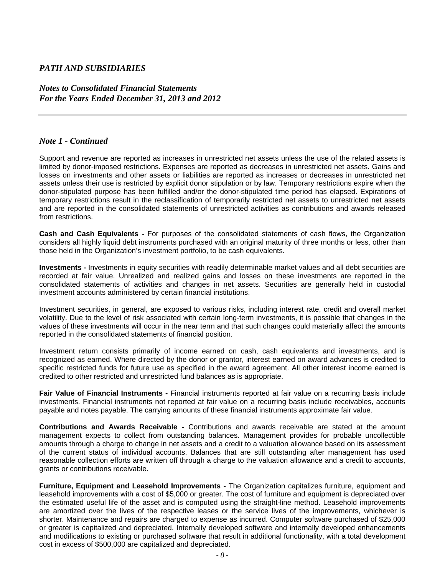*Notes to Consolidated Financial Statements For the Years Ended December 31, 2013 and 2012* 

#### *Note 1 - Continued*

Support and revenue are reported as increases in unrestricted net assets unless the use of the related assets is limited by donor-imposed restrictions. Expenses are reported as decreases in unrestricted net assets. Gains and losses on investments and other assets or liabilities are reported as increases or decreases in unrestricted net assets unless their use is restricted by explicit donor stipulation or by law. Temporary restrictions expire when the donor-stipulated purpose has been fulfilled and/or the donor-stipulated time period has elapsed. Expirations of temporary restrictions result in the reclassification of temporarily restricted net assets to unrestricted net assets and are reported in the consolidated statements of unrestricted activities as contributions and awards released from restrictions.

**Cash and Cash Equivalents -** For purposes of the consolidated statements of cash flows, the Organization considers all highly liquid debt instruments purchased with an original maturity of three months or less, other than those held in the Organization's investment portfolio, to be cash equivalents.

**Investments -** Investments in equity securities with readily determinable market values and all debt securities are recorded at fair value. Unrealized and realized gains and losses on these investments are reported in the consolidated statements of activities and changes in net assets. Securities are generally held in custodial investment accounts administered by certain financial institutions.

Investment securities, in general, are exposed to various risks, including interest rate, credit and overall market volatility. Due to the level of risk associated with certain long-term investments, it is possible that changes in the values of these investments will occur in the near term and that such changes could materially affect the amounts reported in the consolidated statements of financial position.

Investment return consists primarily of income earned on cash, cash equivalents and investments, and is recognized as earned. Where directed by the donor or grantor, interest earned on award advances is credited to specific restricted funds for future use as specified in the award agreement. All other interest income earned is credited to other restricted and unrestricted fund balances as is appropriate.

**Fair Value of Financial Instruments -** Financial instruments reported at fair value on a recurring basis include investments. Financial instruments not reported at fair value on a recurring basis include receivables, accounts payable and notes payable. The carrying amounts of these financial instruments approximate fair value.

**Contributions and Awards Receivable -** Contributions and awards receivable are stated at the amount management expects to collect from outstanding balances. Management provides for probable uncollectible amounts through a charge to change in net assets and a credit to a valuation allowance based on its assessment of the current status of individual accounts. Balances that are still outstanding after management has used reasonable collection efforts are written off through a charge to the valuation allowance and a credit to accounts, grants or contributions receivable.

**Furniture, Equipment and Leasehold Improvements -** The Organization capitalizes furniture, equipment and leasehold improvements with a cost of \$5,000 or greater. The cost of furniture and equipment is depreciated over the estimated useful life of the asset and is computed using the straight-line method. Leasehold improvements are amortized over the lives of the respective leases or the service lives of the improvements, whichever is shorter. Maintenance and repairs are charged to expense as incurred. Computer software purchased of \$25,000 or greater is capitalized and depreciated. Internally developed software and internally developed enhancements and modifications to existing or purchased software that result in additional functionality, with a total development cost in excess of \$500,000 are capitalized and depreciated.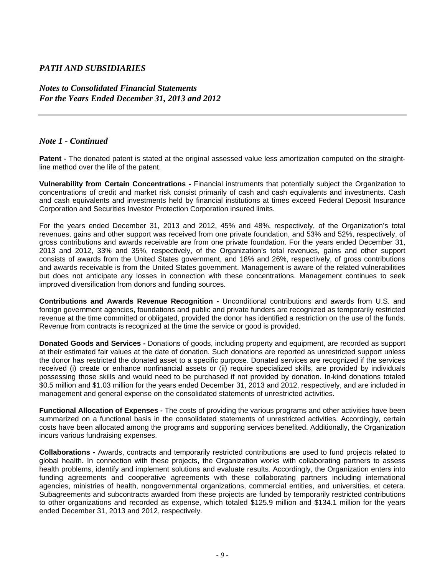*Notes to Consolidated Financial Statements For the Years Ended December 31, 2013 and 2012* 

#### *Note 1 - Continued*

**Patent -** The donated patent is stated at the original assessed value less amortization computed on the straightline method over the life of the patent.

**Vulnerability from Certain Concentrations -** Financial instruments that potentially subject the Organization to concentrations of credit and market risk consist primarily of cash and cash equivalents and investments. Cash and cash equivalents and investments held by financial institutions at times exceed Federal Deposit Insurance Corporation and Securities Investor Protection Corporation insured limits.

For the years ended December 31, 2013 and 2012, 45% and 48%, respectively, of the Organization's total revenues, gains and other support was received from one private foundation, and 53% and 52%, respectively, of gross contributions and awards receivable are from one private foundation. For the years ended December 31, 2013 and 2012, 33% and 35%, respectively, of the Organization's total revenues, gains and other support consists of awards from the United States government, and 18% and 26%, respectively, of gross contributions and awards receivable is from the United States government. Management is aware of the related vulnerabilities but does not anticipate any losses in connection with these concentrations. Management continues to seek improved diversification from donors and funding sources.

**Contributions and Awards Revenue Recognition -** Unconditional contributions and awards from U.S. and foreign government agencies, foundations and public and private funders are recognized as temporarily restricted revenue at the time committed or obligated, provided the donor has identified a restriction on the use of the funds. Revenue from contracts is recognized at the time the service or good is provided.

**Donated Goods and Services -** Donations of goods, including property and equipment, are recorded as support at their estimated fair values at the date of donation. Such donations are reported as unrestricted support unless the donor has restricted the donated asset to a specific purpose. Donated services are recognized if the services received (i) create or enhance nonfinancial assets or (ii) require specialized skills, are provided by individuals possessing those skills and would need to be purchased if not provided by donation. In-kind donations totaled \$0.5 million and \$1.03 million for the years ended December 31, 2013 and 2012, respectively, and are included in management and general expense on the consolidated statements of unrestricted activities.

**Functional Allocation of Expenses -** The costs of providing the various programs and other activities have been summarized on a functional basis in the consolidated statements of unrestricted activities. Accordingly, certain costs have been allocated among the programs and supporting services benefited. Additionally, the Organization incurs various fundraising expenses.

**Collaborations -** Awards, contracts and temporarily restricted contributions are used to fund projects related to global health. In connection with these projects, the Organization works with collaborating partners to assess health problems, identify and implement solutions and evaluate results. Accordingly, the Organization enters into funding agreements and cooperative agreements with these collaborating partners including international agencies, ministries of health, nongovernmental organizations, commercial entities, and universities, et cetera. Subagreements and subcontracts awarded from these projects are funded by temporarily restricted contributions to other organizations and recorded as expense, which totaled \$125.9 million and \$134.1 million for the years ended December 31, 2013 and 2012, respectively.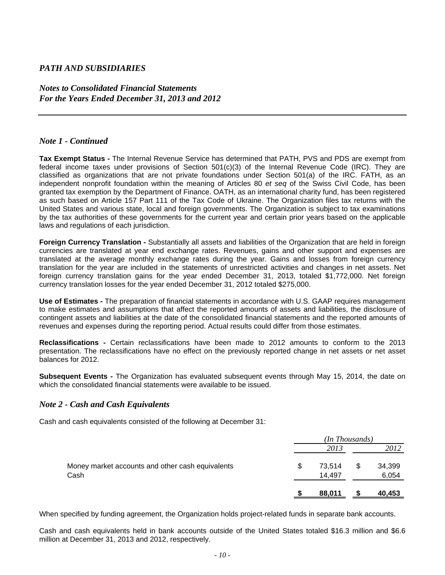*Notes to Consolidated Financial Statements For the Years Ended December 31, 2013 and 2012* 

#### *Note 1 - Continued*

**Tax Exempt Status -** The Internal Revenue Service has determined that PATH, PVS and PDS are exempt from federal income taxes under provisions of Section 501(c)(3) of the Internal Revenue Code (IRC). They are classified as organizations that are not private foundations under Section 501(a) of the IRC. FATH, as an independent nonprofit foundation within the meaning of Articles 80 *et seq* of the Swiss Civil Code, has been granted tax exemption by the Department of Finance. OATH, as an international charity fund, has been registered as such based on Article 157 Part 111 of the Tax Code of Ukraine. The Organization files tax returns with the United States and various state, local and foreign governments. The Organization is subject to tax examinations by the tax authorities of these governments for the current year and certain prior years based on the applicable laws and regulations of each jurisdiction.

**Foreign Currency Translation -** Substantially all assets and liabilities of the Organization that are held in foreign currencies are translated at year end exchange rates. Revenues, gains and other support and expenses are translated at the average monthly exchange rates during the year. Gains and losses from foreign currency translation for the year are included in the statements of unrestricted activities and changes in net assets. Net foreign currency translation gains for the year ended December 31, 2013, totaled \$1,772,000. Net foreign currency translation losses for the year ended December 31, 2012 totaled \$275,000.

**Use of Estimates -** The preparation of financial statements in accordance with U.S. GAAP requires management to make estimates and assumptions that affect the reported amounts of assets and liabilities, the disclosure of contingent assets and liabilities at the date of the consolidated financial statements and the reported amounts of revenues and expenses during the reporting period. Actual results could differ from those estimates.

**Reclassifications -** Certain reclassifications have been made to 2012 amounts to conform to the 2013 presentation. The reclassifications have no effect on the previously reported change in net assets or net asset balances for 2012.

**Subsequent Events** *-* The Organization has evaluated subsequent events through May 15, 2014, the date on which the consolidated financial statements were available to be issued.

#### *Note 2 - Cash and Cash Equivalents*

Cash and cash equivalents consisted of the following at December 31:

|                                                          | (In Thousands) |                  |    |                 |
|----------------------------------------------------------|----------------|------------------|----|-----------------|
|                                                          |                | 2013             |    | 2012            |
| Money market accounts and other cash equivalents<br>Cash | \$             | 73.514<br>14.497 | \$ | 34,399<br>6,054 |
|                                                          |                | 88,011           |    | 40,453          |

When specified by funding agreement, the Organization holds project-related funds in separate bank accounts.

Cash and cash equivalents held in bank accounts outside of the United States totaled \$16.3 million and \$6.6 million at December 31, 2013 and 2012, respectively.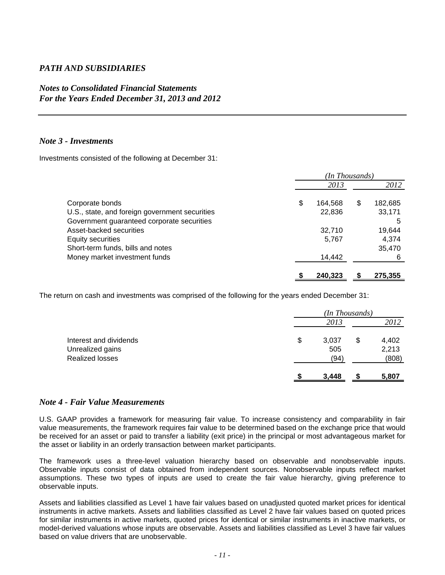## *Notes to Consolidated Financial Statements For the Years Ended December 31, 2013 and 2012*

#### *Note 3 - Investments*

Investments consisted of the following at December 31:

|                                                | (In Thousands) |         |    |         |  |
|------------------------------------------------|----------------|---------|----|---------|--|
|                                                |                | 2013    |    | 2012    |  |
| Corporate bonds                                | \$             | 164,568 | \$ | 182,685 |  |
| U.S., state, and foreign government securities |                | 22,836  |    | 33,171  |  |
| Government guaranteed corporate securities     |                |         |    | 5       |  |
| Asset-backed securities                        |                | 32,710  |    | 19,644  |  |
| Equity securities                              |                | 5,767   |    | 4,374   |  |
| Short-term funds, bills and notes              |                |         |    | 35,470  |  |
| Money market investment funds                  |                | 14,442  |    | 6       |  |
|                                                |                | 240,323 |    | 275,355 |  |

The return on cash and investments was comprised of the following for the years ended December 31:

|                        | (In Thousands) |    |       |  |
|------------------------|----------------|----|-------|--|
|                        | 2013           |    | 2012  |  |
| Interest and dividends | \$<br>3,037    | \$ | 4,402 |  |
| Unrealized gains       | 505            |    | 2,213 |  |
| Realized losses        | (94)           |    | (808) |  |
|                        | 3,448          |    | 5,807 |  |

#### *Note 4 - Fair Value Measurements*

U.S. GAAP provides a framework for measuring fair value. To increase consistency and comparability in fair value measurements, the framework requires fair value to be determined based on the exchange price that would be received for an asset or paid to transfer a liability (exit price) in the principal or most advantageous market for the asset or liability in an orderly transaction between market participants.

The framework uses a three-level valuation hierarchy based on observable and nonobservable inputs. Observable inputs consist of data obtained from independent sources. Nonobservable inputs reflect market assumptions. These two types of inputs are used to create the fair value hierarchy, giving preference to observable inputs.

Assets and liabilities classified as Level 1 have fair values based on unadjusted quoted market prices for identical instruments in active markets. Assets and liabilities classified as Level 2 have fair values based on quoted prices for similar instruments in active markets, quoted prices for identical or similar instruments in inactive markets, or model-derived valuations whose inputs are observable. Assets and liabilities classified as Level 3 have fair values based on value drivers that are unobservable.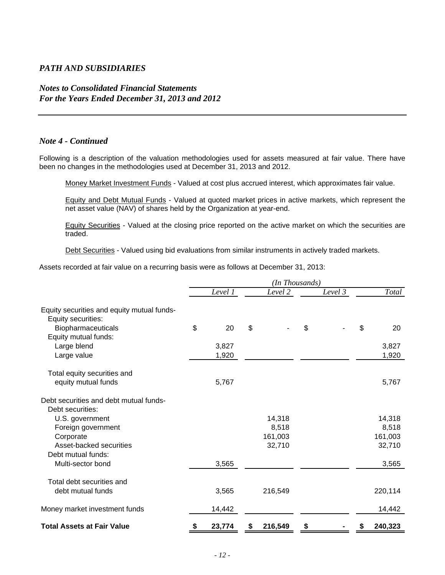## *Notes to Consolidated Financial Statements For the Years Ended December 31, 2013 and 2012*

#### *Note 4 - Continued*

Following is a description of the valuation methodologies used for assets measured at fair value. There have been no changes in the methodologies used at December 31, 2013 and 2012.

Money Market Investment Funds - Valued at cost plus accrued interest, which approximates fair value.

Equity and Debt Mutual Funds - Valued at quoted market prices in active markets, which represent the net asset value (NAV) of shares held by the Organization at year-end.

Equity Securities - Valued at the closing price reported on the active market on which the securities are traded.

Debt Securities - Valued using bid evaluations from similar instruments in actively traded markets.

Assets recorded at fair value on a recurring basis were as follows at December 31, 2013:

|                                                                  | (In Thousands) |                |    |         |    |         |    |                |
|------------------------------------------------------------------|----------------|----------------|----|---------|----|---------|----|----------------|
|                                                                  |                | Level 1        |    | Level 2 |    | Level 3 |    | Total          |
| Equity securities and equity mutual funds-<br>Equity securities: |                |                |    |         |    |         |    |                |
| Biopharmaceuticals<br>Equity mutual funds:                       | \$             | 20             | \$ |         | \$ |         | \$ | 20             |
| Large blend<br>Large value                                       |                | 3,827<br>1,920 |    |         |    |         |    | 3,827<br>1,920 |
| Total equity securities and                                      |                |                |    |         |    |         |    |                |
| equity mutual funds                                              |                | 5,767          |    |         |    |         |    | 5,767          |
| Debt securities and debt mutual funds-<br>Debt securities:       |                |                |    |         |    |         |    |                |
| U.S. government                                                  |                |                |    | 14,318  |    |         |    | 14,318         |
| Foreign government                                               |                |                |    | 8,518   |    |         |    | 8,518          |
| Corporate                                                        |                |                |    | 161,003 |    |         |    | 161,003        |
| Asset-backed securities<br>Debt mutual funds:                    |                |                |    | 32,710  |    |         |    | 32,710         |
| Multi-sector bond                                                |                | 3,565          |    |         |    |         |    | 3,565          |
| Total debt securities and                                        |                |                |    |         |    |         |    |                |
| debt mutual funds                                                |                | 3,565          |    | 216,549 |    |         |    | 220,114        |
| Money market investment funds                                    |                | 14,442         |    |         |    |         |    | 14,442         |
| <b>Total Assets at Fair Value</b>                                | \$             | 23,774         | \$ | 216,549 | \$ |         | S  | 240,323        |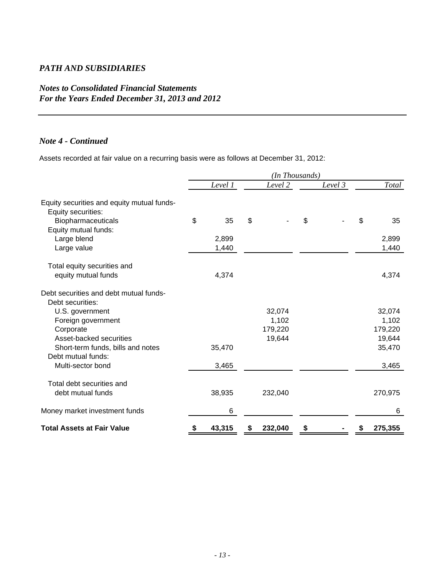## *Notes to Consolidated Financial Statements For the Years Ended December 31, 2013 and 2012*

## *Note 4 - Continued*

Assets recorded at fair value on a recurring basis were as follows at December 31, 2012:

|                                                                  |              | (In Thousands) |         |               |
|------------------------------------------------------------------|--------------|----------------|---------|---------------|
|                                                                  | Level 1      | Level 2        | Level 3 | Total         |
| Equity securities and equity mutual funds-<br>Equity securities: |              |                |         |               |
| Biopharmaceuticals                                               | \$<br>35     | \$             | \$      | \$<br>35      |
| Equity mutual funds:                                             |              |                |         |               |
| Large blend                                                      | 2,899        |                |         | 2,899         |
| Large value                                                      | 1,440        |                |         | 1,440         |
| Total equity securities and                                      |              |                |         |               |
| equity mutual funds                                              | 4,374        |                |         | 4,374         |
| Debt securities and debt mutual funds-                           |              |                |         |               |
| Debt securities:                                                 |              |                |         |               |
| U.S. government                                                  |              | 32,074         |         | 32,074        |
| Foreign government                                               |              | 1,102          |         | 1,102         |
| Corporate                                                        |              | 179,220        |         | 179,220       |
| Asset-backed securities                                          |              | 19,644         |         | 19,644        |
| Short-term funds, bills and notes                                | 35,470       |                |         | 35,470        |
| Debt mutual funds:                                               |              |                |         |               |
| Multi-sector bond                                                | 3,465        |                |         | 3,465         |
| Total debt securities and                                        |              |                |         |               |
| debt mutual funds                                                | 38,935       | 232,040        |         | 270,975       |
| Money market investment funds                                    | 6            |                |         | 6             |
|                                                                  |              |                |         |               |
| <b>Total Assets at Fair Value</b>                                | \$<br>43,315 | \$<br>232,040  | \$      | \$<br>275,355 |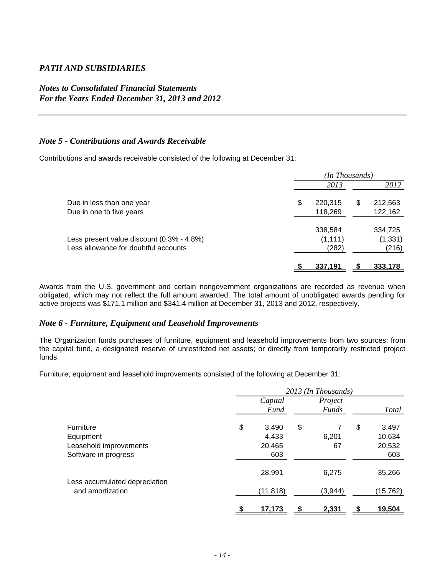## *Notes to Consolidated Financial Statements For the Years Ended December 31, 2013 and 2012*

#### *Note 5 - Contributions and Awards Receivable*

Contributions and awards receivable consisted of the following at December 31:

|                                           | (In Thousands) |          |   |          |  |
|-------------------------------------------|----------------|----------|---|----------|--|
|                                           |                | 2013     |   | 2012     |  |
| Due in less than one year                 | \$             | 220,315  | S | 212,563  |  |
| Due in one to five years                  |                | 118,269  |   | 122,162  |  |
|                                           |                | 338,584  |   | 334,725  |  |
| Less present value discount (0.3% - 4.8%) |                | (1, 111) |   | (1, 331) |  |
| Less allowance for doubtful accounts      |                | (282)    |   | (216)    |  |
|                                           |                | 337,191  |   | 333,178  |  |

Awards from the U.S. government and certain nongovernment organizations are recorded as revenue when obligated, which may not reflect the full amount awarded. The total amount of unobligated awards pending for active projects was \$171.1 million and \$341.4 million at December 31, 2013 and 2012, respectively.

#### *Note 6 - Furniture, Equipment and Leasehold Improvements*

The Organization funds purchases of furniture, equipment and leasehold improvements from two sources: from the capital fund, a designated reserve of unrestricted net assets; or directly from temporarily restricted project funds.

Furniture, equipment and leasehold improvements consisted of the following at December 31:

|                                                                          | 2013 (In Thousands) |                                 |    |                         |    |                                  |
|--------------------------------------------------------------------------|---------------------|---------------------------------|----|-------------------------|----|----------------------------------|
|                                                                          |                     | Capital<br>Fund                 |    | Project<br><b>Funds</b> |    | <b>Total</b>                     |
| Furniture<br>Equipment<br>Leasehold improvements<br>Software in progress | \$                  | 3,490<br>4,433<br>20,465<br>603 | \$ | 6,201<br>67             | \$ | 3,497<br>10,634<br>20,532<br>603 |
| Less accumulated depreciation<br>and amortization                        |                     | 28,991<br>(11,818)              |    | 6,275<br>(3,944)        |    | 35,266<br>(15,762)               |
|                                                                          | \$                  | 17,173                          | S  | 2,331                   | S  | 19,504                           |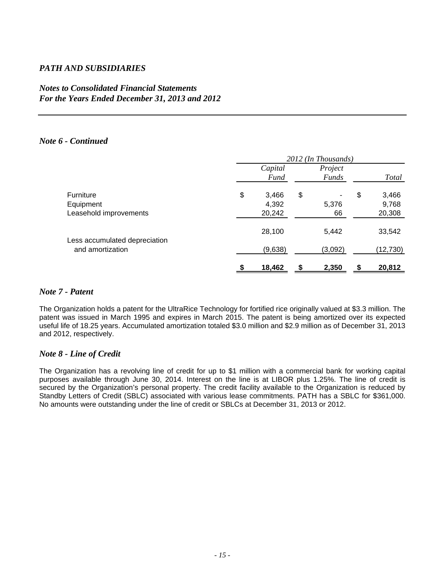#### *Notes to Consolidated Financial Statements For the Years Ended December 31, 2013 and 2012*

#### *Note 6 - Continued*

|                               | 2012 (In Thousands) |                 |    |                         |    |              |
|-------------------------------|---------------------|-----------------|----|-------------------------|----|--------------|
|                               |                     | Capital<br>Fund |    | Project<br><b>Funds</b> |    | <b>Total</b> |
| <b>Furniture</b>              | \$                  | 3,466           | \$ | ٠                       | \$ | 3,466        |
| Equipment                     |                     | 4,392           |    | 5,376                   |    | 9,768        |
| Leasehold improvements        |                     | 20,242          |    | 66                      |    | 20,308       |
| Less accumulated depreciation |                     | 28,100          |    | 5,442                   |    | 33,542       |
| and amortization              |                     | (9,638)         |    | (3,092)                 |    | (12, 730)    |
|                               |                     | 18,462          |    | 2,350                   |    | 20,812       |

#### *Note 7 - Patent*

The Organization holds a patent for the UltraRice Technology for fortified rice originally valued at \$3.3 million. The patent was issued in March 1995 and expires in March 2015. The patent is being amortized over its expected useful life of 18.25 years. Accumulated amortization totaled \$3.0 million and \$2.9 million as of December 31, 2013 and 2012, respectively.

#### *Note 8 - Line of Credit*

The Organization has a revolving line of credit for up to \$1 million with a commercial bank for working capital purposes available through June 30, 2014. Interest on the line is at LIBOR plus 1.25%. The line of credit is secured by the Organization's personal property. The credit facility available to the Organization is reduced by Standby Letters of Credit (SBLC) associated with various lease commitments. PATH has a SBLC for \$361,000. No amounts were outstanding under the line of credit or SBLCs at December 31, 2013 or 2012.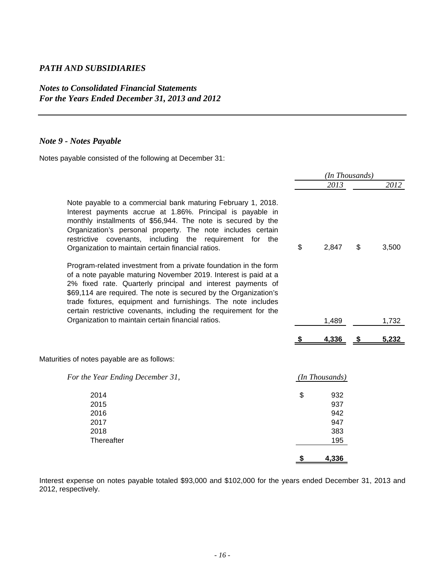*Notes to Consolidated Financial Statements For the Years Ended December 31, 2013 and 2012* 

## *Note 9 - Notes Payable*

Notes payable consisted of the following at December 31:

|                                                                                                                                                                                                                                                                                                                                                                                                            | (In Thousands) |                                        |    |       |
|------------------------------------------------------------------------------------------------------------------------------------------------------------------------------------------------------------------------------------------------------------------------------------------------------------------------------------------------------------------------------------------------------------|----------------|----------------------------------------|----|-------|
|                                                                                                                                                                                                                                                                                                                                                                                                            |                | 2013                                   |    | 2012  |
| Note payable to a commercial bank maturing February 1, 2018.<br>Interest payments accrue at 1.86%. Principal is payable in<br>monthly installments of \$56,944. The note is secured by the<br>Organization's personal property. The note includes certain<br>restrictive covenants, including the requirement for the<br>Organization to maintain certain financial ratios.                                | \$             | 2,847                                  | \$ | 3,500 |
| Program-related investment from a private foundation in the form<br>of a note payable maturing November 2019. Interest is paid at a<br>2% fixed rate. Quarterly principal and interest payments of<br>\$69,114 are required. The note is secured by the Organization's<br>trade fixtures, equipment and furnishings. The note includes<br>certain restrictive covenants, including the requirement for the |                |                                        |    |       |
| Organization to maintain certain financial ratios.                                                                                                                                                                                                                                                                                                                                                         |                | 1,489                                  |    | 1,732 |
|                                                                                                                                                                                                                                                                                                                                                                                                            |                | 4,336                                  | \$ | 5,232 |
| Maturities of notes payable are as follows:                                                                                                                                                                                                                                                                                                                                                                |                |                                        |    |       |
| For the Year Ending December 31,                                                                                                                                                                                                                                                                                                                                                                           |                | (In Thousands)                         |    |       |
| 2014<br>2015<br>2016<br>2017<br>2018<br>Thereafter                                                                                                                                                                                                                                                                                                                                                         | \$             | 932<br>937<br>942<br>947<br>383<br>195 |    |       |
|                                                                                                                                                                                                                                                                                                                                                                                                            | S              | 4,336                                  |    |       |

Interest expense on notes payable totaled \$93,000 and \$102,000 for the years ended December 31, 2013 and 2012, respectively.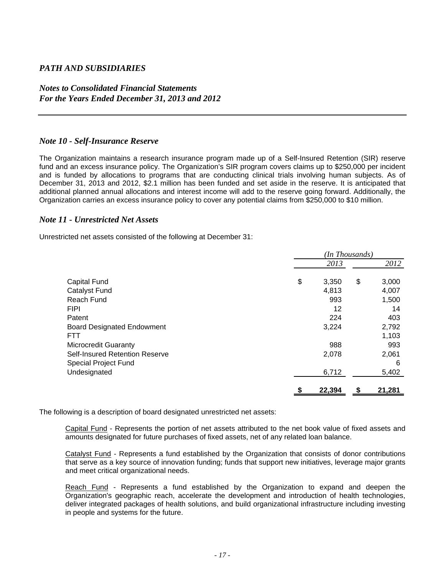## *Notes to Consolidated Financial Statements For the Years Ended December 31, 2013 and 2012*

#### *Note 10 - Self-Insurance Reserve*

The Organization maintains a research insurance program made up of a Self-Insured Retention (SIR) reserve fund and an excess insurance policy. The Organization's SIR program covers claims up to \$250,000 per incident and is funded by allocations to programs that are conducting clinical trials involving human subjects. As of December 31, 2013 and 2012, \$2.1 million has been funded and set aside in the reserve. It is anticipated that additional planned annual allocations and interest income will add to the reserve going forward. Additionally, the Organization carries an excess insurance policy to cover any potential claims from \$250,000 to \$10 million.

#### *Note 11 - Unrestricted Net Assets*

Unrestricted net assets consisted of the following at December 31:

|                                   | (In Thousands) |        |    |        |
|-----------------------------------|----------------|--------|----|--------|
|                                   |                | 2013   |    | 2012   |
| <b>Capital Fund</b>               | \$             | 3,350  | \$ | 3,000  |
| Catalyst Fund                     |                | 4,813  |    | 4,007  |
| Reach Fund                        |                | 993    |    | 1,500  |
| <b>FIPI</b>                       |                | 12     |    | 14     |
| Patent                            |                | 224    |    | 403    |
| <b>Board Designated Endowment</b> |                | 3,224  |    | 2,792  |
| <b>FTT</b>                        |                |        |    | 1,103  |
| <b>Microcredit Guaranty</b>       |                | 988    |    | 993    |
| Self-Insured Retention Reserve    |                | 2,078  |    | 2,061  |
| <b>Special Project Fund</b>       |                |        |    | 6      |
| Undesignated                      |                | 6,712  |    | 5,402  |
|                                   | S              | 22,394 | S  | 21,281 |

The following is a description of board designated unrestricted net assets:

Capital Fund - Represents the portion of net assets attributed to the net book value of fixed assets and amounts designated for future purchases of fixed assets, net of any related loan balance.

Catalyst Fund - Represents a fund established by the Organization that consists of donor contributions that serve as a key source of innovation funding; funds that support new initiatives, leverage major grants and meet critical organizational needs.

Reach Fund - Represents a fund established by the Organization to expand and deepen the Organization's geographic reach, accelerate the development and introduction of health technologies, deliver integrated packages of health solutions, and build organizational infrastructure including investing in people and systems for the future.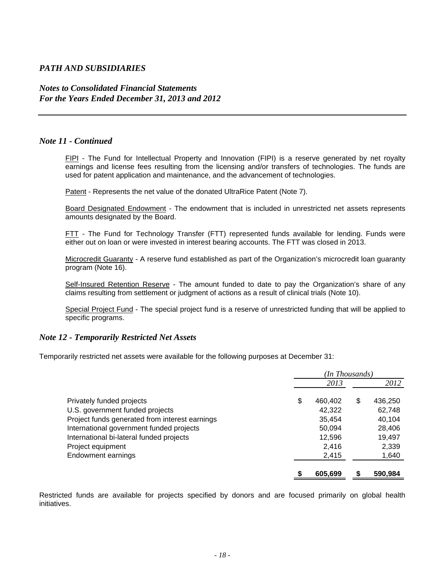## *Notes to Consolidated Financial Statements For the Years Ended December 31, 2013 and 2012*

#### *Note 11 - Continued*

FIPI - The Fund for Intellectual Property and Innovation (FIPI) is a reserve generated by net royalty earnings and license fees resulting from the licensing and/or transfers of technologies. The funds are used for patent application and maintenance, and the advancement of technologies.

Patent - Represents the net value of the donated UltraRice Patent (Note 7).

Board Designated Endowment - The endowment that is included in unrestricted net assets represents amounts designated by the Board.

FTT - The Fund for Technology Transfer (FTT) represented funds available for lending. Funds were either out on loan or were invested in interest bearing accounts. The FTT was closed in 2013.

Microcredit Guaranty - A reserve fund established as part of the Organization's microcredit loan guaranty program (Note 16).

Self-Insured Retention Reserve - The amount funded to date to pay the Organization's share of any claims resulting from settlement or judgment of actions as a result of clinical trials (Note 10).

Special Project Fund - The special project fund is a reserve of unrestricted funding that will be applied to specific programs.

#### *Note 12 - Temporarily Restricted Net Assets*

Temporarily restricted net assets were available for the following purposes at December 31:

|                                                | (In Thousands) |         |    |         |  |
|------------------------------------------------|----------------|---------|----|---------|--|
|                                                |                | 2013    |    | 2012    |  |
| Privately funded projects                      | \$             | 460,402 | \$ | 436,250 |  |
| U.S. government funded projects                |                | 42,322  |    | 62,748  |  |
| Project funds generated from interest earnings |                | 35,454  |    | 40,104  |  |
| International government funded projects       |                | 50,094  |    | 28,406  |  |
| International bi-lateral funded projects       |                | 12,596  |    | 19,497  |  |
| Project equipment                              |                | 2,416   |    | 2,339   |  |
| Endowment earnings                             |                | 2,415   |    | 1,640   |  |
|                                                |                | 605.699 |    | 590.984 |  |

Restricted funds are available for projects specified by donors and are focused primarily on global health initiatives.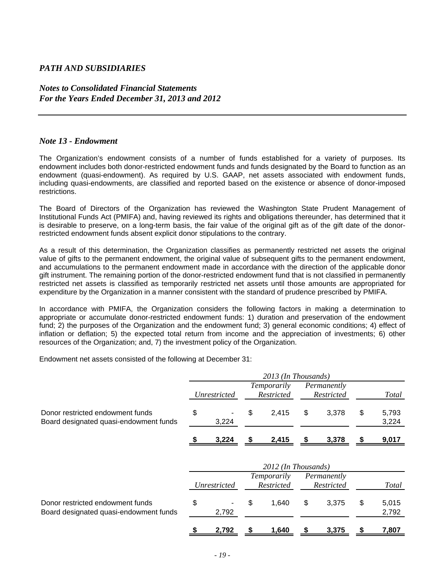*Notes to Consolidated Financial Statements For the Years Ended December 31, 2013 and 2012* 

#### *Note 13 - Endowment*

The Organization's endowment consists of a number of funds established for a variety of purposes. Its endowment includes both donor-restricted endowment funds and funds designated by the Board to function as an endowment (quasi-endowment). As required by U.S. GAAP, net assets associated with endowment funds, including quasi-endowments, are classified and reported based on the existence or absence of donor-imposed restrictions.

The Board of Directors of the Organization has reviewed the Washington State Prudent Management of Institutional Funds Act (PMIFA) and, having reviewed its rights and obligations thereunder, has determined that it is desirable to preserve, on a long-term basis, the fair value of the original gift as of the gift date of the donorrestricted endowment funds absent explicit donor stipulations to the contrary.

As a result of this determination, the Organization classifies as permanently restricted net assets the original value of gifts to the permanent endowment, the original value of subsequent gifts to the permanent endowment, and accumulations to the permanent endowment made in accordance with the direction of the applicable donor gift instrument. The remaining portion of the donor-restricted endowment fund that is not classified in permanently restricted net assets is classified as temporarily restricted net assets until those amounts are appropriated for expenditure by the Organization in a manner consistent with the standard of prudence prescribed by PMIFA.

In accordance with PMIFA, the Organization considers the following factors in making a determination to appropriate or accumulate donor-restricted endowment funds: 1) duration and preservation of the endowment fund; 2) the purposes of the Organization and the endowment fund; 3) general economic conditions; 4) effect of inflation or deflation; 5) the expected total return from income and the appreciation of investments; 6) other resources of the Organization; and, 7) the investment policy of the Organization.

Endowment net assets consisted of the following at December 31:

|                                                                            | 2013 (In Thousands) |       |                                                         |       |  |       |       |                |
|----------------------------------------------------------------------------|---------------------|-------|---------------------------------------------------------|-------|--|-------|-------|----------------|
|                                                                            | Temporarily         |       | Permanently<br>Restricted<br>Restricted<br>Unrestricted |       |  |       | Total |                |
|                                                                            |                     |       |                                                         |       |  |       |       |                |
| Donor restricted endowment funds<br>Board designated quasi-endowment funds | S                   | 3,224 |                                                         | 2.415 |  | 3.378 |       | 5,793<br>3,224 |
|                                                                            |                     | 3.224 |                                                         | 2,415 |  | 3,378 |       | 9,017          |

|      |              | 2012 (In Thousands) |                           |                           |       |                |
|------|--------------|---------------------|---------------------------|---------------------------|-------|----------------|
|      | Unrestricted |                     | Temporarily<br>Restricted | Permanently<br>Restricted |       | Total          |
| ınds | \$<br>2,792  | 5                   | 1.640                     | £.                        | 3.375 | 5,015<br>2,792 |
|      | 2,792        |                     | 1,640                     |                           | 3,375 | 7,807          |

Donor restricted endowment funds Board designated quasi-endowment funds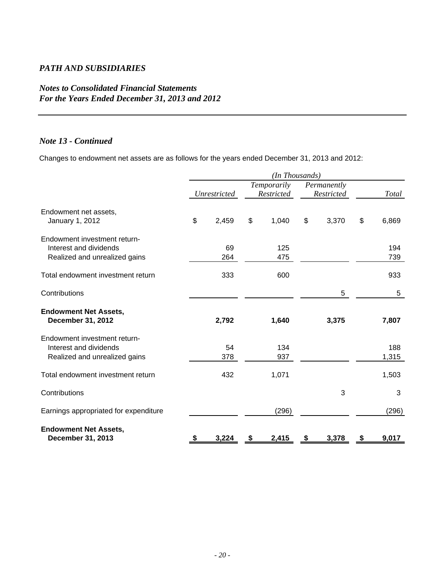## *Notes to Consolidated Financial Statements For the Years Ended December 31, 2013 and 2012*

#### *Note 13 - Continued*

Changes to endowment net assets are as follows for the years ended December 31, 2013 and 2012:

|                                                                                         |              | (In Thousands) |             |              |
|-----------------------------------------------------------------------------------------|--------------|----------------|-------------|--------------|
|                                                                                         |              | Temporarily    | Permanently |              |
|                                                                                         | Unrestricted | Restricted     | Restricted  | Total        |
| Endowment net assets,<br>January 1, 2012                                                | \$<br>2,459  | \$<br>1,040    | \$<br>3,370 | \$<br>6,869  |
| Endowment investment return-<br>Interest and dividends<br>Realized and unrealized gains | 69<br>264    | 125<br>475     |             | 194<br>739   |
| Total endowment investment return                                                       | 333          | 600            |             | 933          |
| Contributions                                                                           |              |                | 5           | 5            |
| <b>Endowment Net Assets,</b><br>December 31, 2012                                       | 2,792        | 1,640          | 3,375       | 7,807        |
| Endowment investment return-<br>Interest and dividends<br>Realized and unrealized gains | 54<br>378    | 134<br>937     |             | 188<br>1,315 |
| Total endowment investment return                                                       | 432          | 1,071          |             | 1,503        |
| Contributions                                                                           |              |                | 3           | 3            |
| Earnings appropriated for expenditure                                                   |              | (296)          |             | (296)        |
| <b>Endowment Net Assets,</b><br><b>December 31, 2013</b>                                | 3,224        | 2,415          | 3,378       | 9,017        |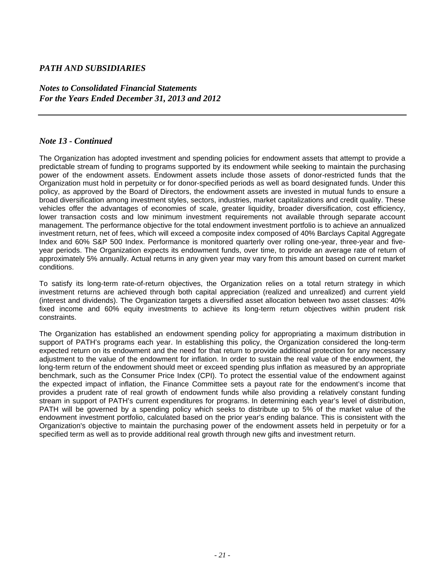*Notes to Consolidated Financial Statements For the Years Ended December 31, 2013 and 2012* 

#### *Note 13 - Continued*

The Organization has adopted investment and spending policies for endowment assets that attempt to provide a predictable stream of funding to programs supported by its endowment while seeking to maintain the purchasing power of the endowment assets. Endowment assets include those assets of donor-restricted funds that the Organization must hold in perpetuity or for donor-specified periods as well as board designated funds. Under this policy, as approved by the Board of Directors, the endowment assets are invested in mutual funds to ensure a broad diversification among investment styles, sectors, industries, market capitalizations and credit quality. These vehicles offer the advantages of economies of scale, greater liquidity, broader diversification, cost efficiency, lower transaction costs and low minimum investment requirements not available through separate account management. The performance objective for the total endowment investment portfolio is to achieve an annualized investment return, net of fees, which will exceed a composite index composed of 40% Barclays Capital Aggregate Index and 60% S&P 500 Index. Performance is monitored quarterly over rolling one-year, three-year and fiveyear periods. The Organization expects its endowment funds, over time, to provide an average rate of return of approximately 5% annually. Actual returns in any given year may vary from this amount based on current market conditions.

To satisfy its long-term rate-of-return objectives, the Organization relies on a total return strategy in which investment returns are achieved through both capital appreciation (realized and unrealized) and current yield (interest and dividends). The Organization targets a diversified asset allocation between two asset classes: 40% fixed income and 60% equity investments to achieve its long-term return objectives within prudent risk constraints.

The Organization has established an endowment spending policy for appropriating a maximum distribution in support of PATH's programs each year. In establishing this policy, the Organization considered the long-term expected return on its endowment and the need for that return to provide additional protection for any necessary adjustment to the value of the endowment for inflation. In order to sustain the real value of the endowment, the long-term return of the endowment should meet or exceed spending plus inflation as measured by an appropriate benchmark, such as the Consumer Price Index (CPI). To protect the essential value of the endowment against the expected impact of inflation, the Finance Committee sets a payout rate for the endowment's income that provides a prudent rate of real growth of endowment funds while also providing a relatively constant funding stream in support of PATH's current expenditures for programs. In determining each year's level of distribution, PATH will be governed by a spending policy which seeks to distribute up to 5% of the market value of the endowment investment portfolio, calculated based on the prior year's ending balance. This is consistent with the Organization's objective to maintain the purchasing power of the endowment assets held in perpetuity or for a specified term as well as to provide additional real growth through new gifts and investment return.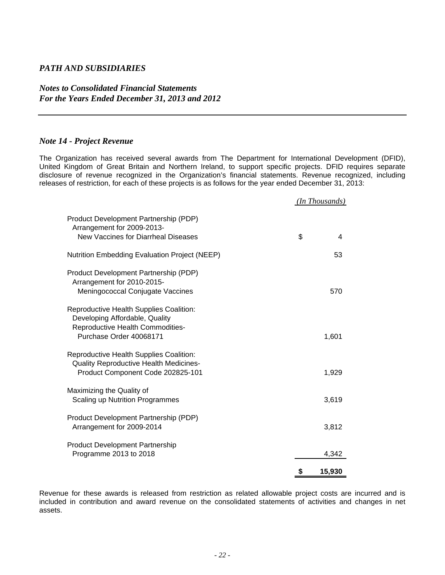## *Notes to Consolidated Financial Statements For the Years Ended December 31, 2013 and 2012*

#### *Note 14 - Project Revenue*

The Organization has received several awards from The Department for International Development (DFID), United Kingdom of Great Britain and Northern Ireland, to support specific projects. DFID requires separate disclosure of revenue recognized in the Organization's financial statements. Revenue recognized, including releases of restriction, for each of these projects is as follows for the year ended December 31, 2013:

|                                                                                                                                                 | (In Thousands) |
|-------------------------------------------------------------------------------------------------------------------------------------------------|----------------|
| Product Development Partnership (PDP)<br>Arrangement for 2009-2013-<br>New Vaccines for Diarrheal Diseases                                      | \$<br>4        |
| <b>Nutrition Embedding Evaluation Project (NEEP)</b>                                                                                            | 53             |
| Product Development Partnership (PDP)<br>Arrangement for 2010-2015-<br>Meningococcal Conjugate Vaccines                                         | 570            |
| <b>Reproductive Health Supplies Coalition:</b><br>Developing Affordable, Quality<br>Reproductive Health Commodities-<br>Purchase Order 40068171 | 1,601          |
| Reproductive Health Supplies Coalition:<br><b>Quality Reproductive Health Medicines-</b><br>Product Component Code 202825-101                   | 1,929          |
| Maximizing the Quality of<br><b>Scaling up Nutrition Programmes</b>                                                                             | 3,619          |
| Product Development Partnership (PDP)<br>Arrangement for 2009-2014                                                                              | 3,812          |
| <b>Product Development Partnership</b><br>Programme 2013 to 2018                                                                                | 4,342          |
|                                                                                                                                                 | \$<br>15,930   |

Revenue for these awards is released from restriction as related allowable project costs are incurred and is included in contribution and award revenue on the consolidated statements of activities and changes in net assets.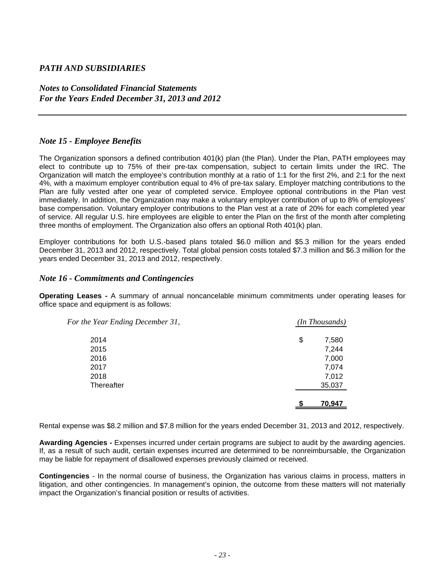*Notes to Consolidated Financial Statements For the Years Ended December 31, 2013 and 2012* 

#### *Note 15 - Employee Benefits*

The Organization sponsors a defined contribution 401(k) plan (the Plan). Under the Plan, PATH employees may elect to contribute up to 75% of their pre-tax compensation, subject to certain limits under the IRC. The Organization will match the employee's contribution monthly at a ratio of 1:1 for the first 2%, and 2:1 for the next 4%, with a maximum employer contribution equal to 4% of pre-tax salary. Employer matching contributions to the Plan are fully vested after one year of completed service. Employee optional contributions in the Plan vest immediately. In addition, the Organization may make a voluntary employer contribution of up to 8% of employees' base compensation. Voluntary employer contributions to the Plan vest at a rate of 20% for each completed year of service. All regular U.S. hire employees are eligible to enter the Plan on the first of the month after completing three months of employment. The Organization also offers an optional Roth 401(k) plan.

Employer contributions for both U.S.-based plans totaled \$6.0 million and \$5.3 million for the years ended December 31, 2013 and 2012, respectively. Total global pension costs totaled \$7.3 million and \$6.3 million for the years ended December 31, 2013 and 2012, respectively.

#### *Note 16 - Commitments and Contingencies*

**Operating Leases -** A summary of annual noncancelable minimum commitments under operating leases for office space and equipment is as follows:

| For the Year Ending December 31, | (In Thousands) |  |
|----------------------------------|----------------|--|
| 2014                             | \$<br>7,580    |  |
| 2015                             | 7,244          |  |
| 2016                             | 7,000          |  |
| 2017                             | 7,074          |  |
| 2018                             | 7,012          |  |
| Thereafter                       | 35,037         |  |
|                                  | 70,947         |  |

Rental expense was \$8.2 million and \$7.8 million for the years ended December 31, 2013 and 2012, respectively.

**Awarding Agencies -** Expenses incurred under certain programs are subject to audit by the awarding agencies. If, as a result of such audit, certain expenses incurred are determined to be nonreimbursable, the Organization may be liable for repayment of disallowed expenses previously claimed or received.

**Contingencies** - In the normal course of business, the Organization has various claims in process, matters in litigation, and other contingencies. In management's opinion, the outcome from these matters will not materially impact the Organization's financial position or results of activities.